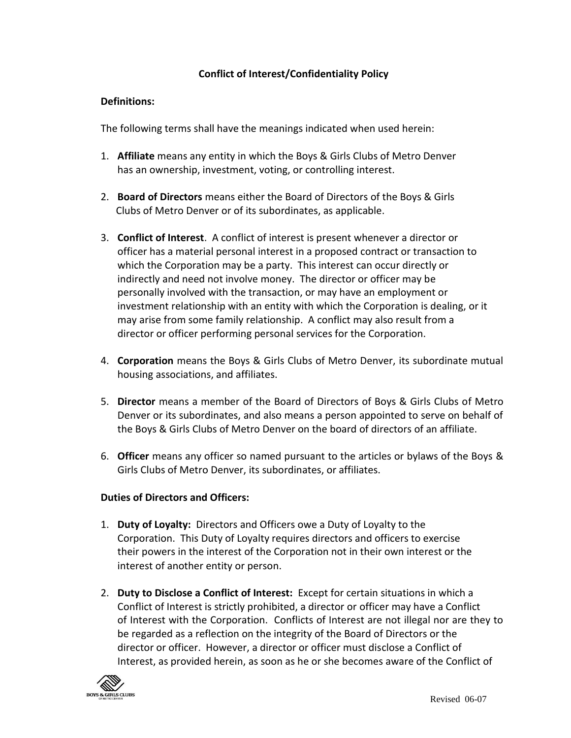# **Conflict of Interest/Confidentiality Policy**

## **Definitions:**

The following terms shall have the meanings indicated when used herein:

- 1. **Affiliate** means any entity in which the Boys & Girls Clubs of Metro Denver has an ownership, investment, voting, or controlling interest.
- 2. **Board of Directors** means either the Board of Directors of the Boys & Girls Clubs of Metro Denver or of its subordinates, as applicable.
- 3. **Conflict of Interest**. A conflict of interest is present whenever a director or officer has a material personal interest in a proposed contract or transaction to which the Corporation may be a party. This interest can occur directly or indirectly and need not involve money. The director or officer may be personally involved with the transaction, or may have an employment or investment relationship with an entity with which the Corporation is dealing, or it may arise from some family relationship. A conflict may also result from a director or officer performing personal services for the Corporation.
- 4. **Corporation** means the Boys & Girls Clubs of Metro Denver, its subordinate mutual housing associations, and affiliates.
- 5. **Director** means a member of the Board of Directors of Boys & Girls Clubs of Metro Denver or its subordinates, and also means a person appointed to serve on behalf of the Boys & Girls Clubs of Metro Denver on the board of directors of an affiliate.
- 6. **Officer** means any officer so named pursuant to the articles or bylaws of the Boys & Girls Clubs of Metro Denver, its subordinates, or affiliates.

#### **Duties of Directors and Officers:**

- 1. **Duty of Loyalty:** Directors and Officers owe a Duty of Loyalty to the Corporation. This Duty of Loyalty requires directors and officers to exercise their powers in the interest of the Corporation not in their own interest or the interest of another entity or person.
- 2. **Duty to Disclose a Conflict of Interest:** Except for certain situations in which a Conflict of Interest is strictly prohibited, a director or officer may have a Conflict of Interest with the Corporation. Conflicts of Interest are not illegal nor are they to be regarded as a reflection on the integrity of the Board of Directors or the director or officer. However, a director or officer must disclose a Conflict of Interest, as provided herein, as soon as he or she becomes aware of the Conflict of

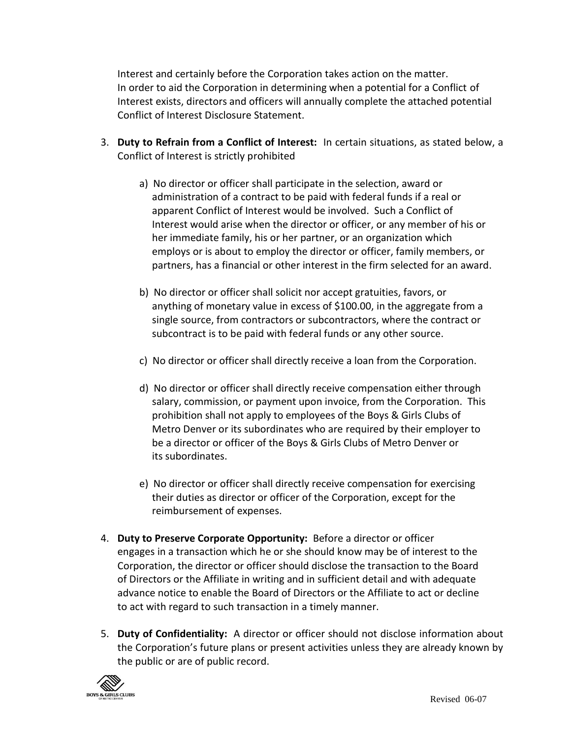Interest and certainly before the Corporation takes action on the matter. In order to aid the Corporation in determining when a potential for a Conflict of Interest exists, directors and officers will annually complete the attached potential Conflict of Interest Disclosure Statement.

- 3. **Duty to Refrain from a Conflict of Interest:** In certain situations, as stated below, a Conflict of Interest is strictly prohibited
	- a) No director or officer shall participate in the selection, award or administration of a contract to be paid with federal funds if a real or apparent Conflict of Interest would be involved. Such a Conflict of Interest would arise when the director or officer, or any member of his or her immediate family, his or her partner, or an organization which employs or is about to employ the director or officer, family members, or partners, has a financial or other interest in the firm selected for an award.
	- b) No director or officer shall solicit nor accept gratuities, favors, or anything of monetary value in excess of \$100.00, in the aggregate from a single source, from contractors or subcontractors, where the contract or subcontract is to be paid with federal funds or any other source.
	- c) No director or officer shall directly receive a loan from the Corporation.
	- d) No director or officer shall directly receive compensation either through salary, commission, or payment upon invoice, from the Corporation. This prohibition shall not apply to employees of the Boys & Girls Clubs of Metro Denver or its subordinates who are required by their employer to be a director or officer of the Boys & Girls Clubs of Metro Denver or its subordinates.
	- e) No director or officer shall directly receive compensation for exercising their duties as director or officer of the Corporation, except for the reimbursement of expenses.
- 4. **Duty to Preserve Corporate Opportunity:** Before a director or officer engages in a transaction which he or she should know may be of interest to the Corporation, the director or officer should disclose the transaction to the Board of Directors or the Affiliate in writing and in sufficient detail and with adequate advance notice to enable the Board of Directors or the Affiliate to act or decline to act with regard to such transaction in a timely manner.
- 5. **Duty of Confidentiality:** A director or officer should not disclose information about the Corporation's future plans or present activities unless they are already known by the public or are of public record.

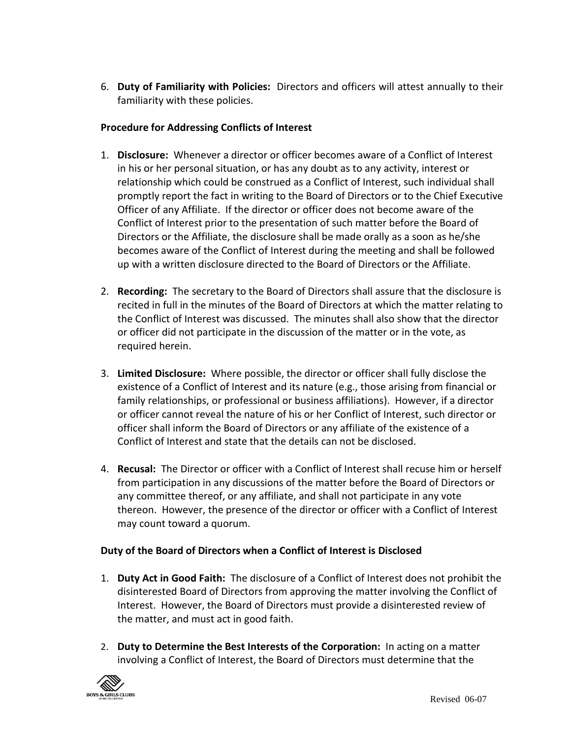6. **Duty of Familiarity with Policies:** Directors and officers will attest annually to their familiarity with these policies.

## **Procedure for Addressing Conflicts of Interest**

- 1. **Disclosure:** Whenever a director or officer becomes aware of a Conflict of Interest in his or her personal situation, or has any doubt as to any activity, interest or relationship which could be construed as a Conflict of Interest, such individual shall promptly report the fact in writing to the Board of Directors or to the Chief Executive Officer of any Affiliate. If the director or officer does not become aware of the Conflict of Interest prior to the presentation of such matter before the Board of Directors or the Affiliate, the disclosure shall be made orally as a soon as he/she becomes aware of the Conflict of Interest during the meeting and shall be followed up with a written disclosure directed to the Board of Directors or the Affiliate.
- 2. **Recording:** The secretary to the Board of Directors shall assure that the disclosure is recited in full in the minutes of the Board of Directors at which the matter relating to the Conflict of Interest was discussed. The minutes shall also show that the director or officer did not participate in the discussion of the matter or in the vote, as required herein.
- 3. **Limited Disclosure:** Where possible, the director or officer shall fully disclose the existence of a Conflict of Interest and its nature (e.g., those arising from financial or family relationships, or professional or business affiliations). However, if a director or officer cannot reveal the nature of his or her Conflict of Interest, such director or officer shall inform the Board of Directors or any affiliate of the existence of a Conflict of Interest and state that the details can not be disclosed.
- 4. **Recusal:** The Director or officer with a Conflict of Interest shall recuse him or herself from participation in any discussions of the matter before the Board of Directors or any committee thereof, or any affiliate, and shall not participate in any vote thereon. However, the presence of the director or officer with a Conflict of Interest may count toward a quorum.

# **Duty of the Board of Directors when a Conflict of Interest is Disclosed**

- 1. **Duty Act in Good Faith:** The disclosure of a Conflict of Interest does not prohibit the disinterested Board of Directors from approving the matter involving the Conflict of Interest. However, the Board of Directors must provide a disinterested review of the matter, and must act in good faith.
- 2. **Duty to Determine the Best Interests of the Corporation:** In acting on a matter involving a Conflict of Interest, the Board of Directors must determine that the

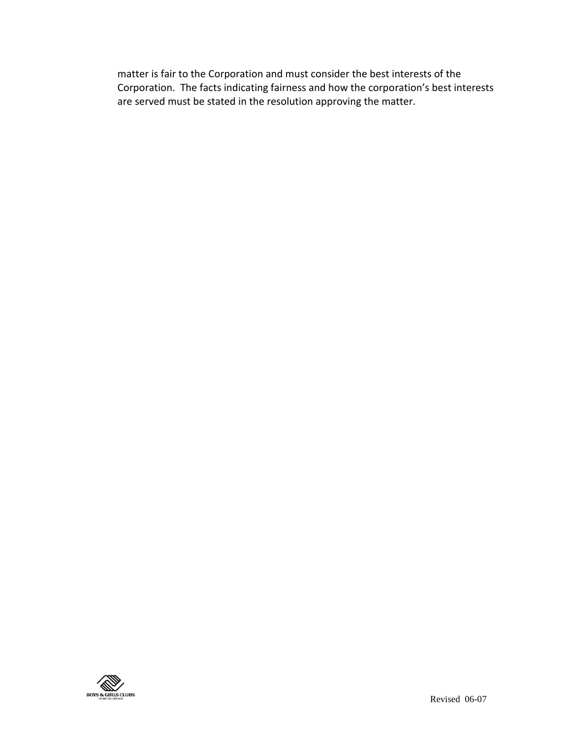matter is fair to the Corporation and must consider the best interests of the Corporation. The facts indicating fairness and how the corporation's best interests are served must be stated in the resolution approving the matter.

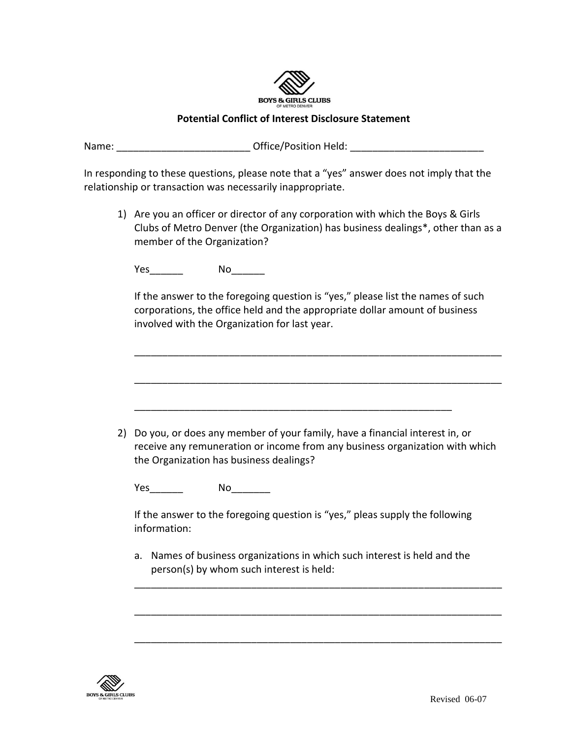

## **Potential Conflict of Interest Disclosure Statement**

Name: The Contract Contract Office/Position Held:  $\bullet$  Office/Position Held:  $\bullet$ 

In responding to these questions, please note that a "yes" answer does not imply that the relationship or transaction was necessarily inappropriate.

1) Are you an officer or director of any corporation with which the Boys & Girls Clubs of Metro Denver (the Organization) has business dealings\*, other than as a member of the Organization?

Yes\_\_\_\_\_\_\_\_\_ No\_\_\_\_\_\_\_\_

If the answer to the foregoing question is "yes," please list the names of such corporations, the office held and the appropriate dollar amount of business involved with the Organization for last year.

\_\_\_\_\_\_\_\_\_\_\_\_\_\_\_\_\_\_\_\_\_\_\_\_\_\_\_\_\_\_\_\_\_\_\_\_\_\_\_\_\_\_\_\_\_\_\_\_\_\_\_\_\_\_\_\_\_\_\_\_\_\_\_\_\_\_ \_\_\_\_\_\_\_\_\_\_\_\_\_\_\_\_\_\_\_\_\_\_\_\_\_\_\_\_\_\_\_\_\_\_\_\_\_\_\_\_\_\_\_\_\_\_\_\_\_\_\_\_\_\_\_\_\_\_\_\_\_\_\_\_\_\_ \_\_\_\_\_\_\_\_\_\_\_\_\_\_\_\_\_\_\_\_\_\_\_\_\_\_\_\_\_\_\_\_\_\_\_\_\_\_\_\_\_\_\_\_\_\_\_\_\_\_\_\_\_\_\_\_\_ 2) Do you, or does any member of your family, have a financial interest in, or receive any remuneration or income from any business organization with which the Organization has business dealings? Yes No If the answer to the foregoing question is "yes," pleas supply the following information: a. Names of business organizations in which such interest is held and the person(s) by whom such interest is held: \_\_\_\_\_\_\_\_\_\_\_\_\_\_\_\_\_\_\_\_\_\_\_\_\_\_\_\_\_\_\_\_\_\_\_\_\_\_\_\_\_\_\_\_\_\_\_\_\_\_\_\_\_\_\_\_\_\_\_\_\_\_\_\_\_\_ \_\_\_\_\_\_\_\_\_\_\_\_\_\_\_\_\_\_\_\_\_\_\_\_\_\_\_\_\_\_\_\_\_\_\_\_\_\_\_\_\_\_\_\_\_\_\_\_\_\_\_\_\_\_\_\_\_\_\_\_\_\_\_\_\_\_

\_\_\_\_\_\_\_\_\_\_\_\_\_\_\_\_\_\_\_\_\_\_\_\_\_\_\_\_\_\_\_\_\_\_\_\_\_\_\_\_\_\_\_\_\_\_\_\_\_\_\_\_\_\_\_\_\_\_\_\_\_\_\_\_\_\_